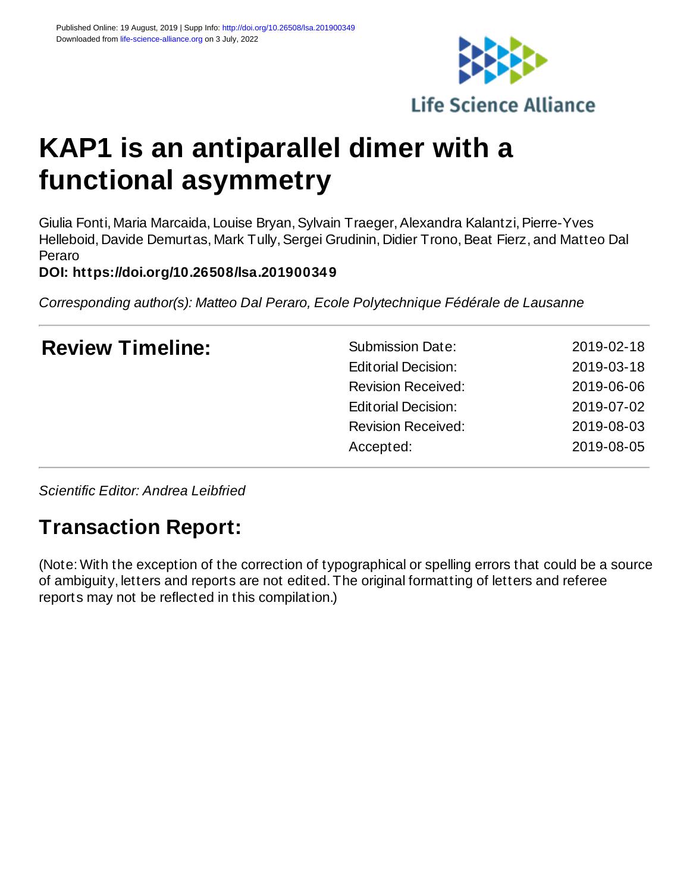

# **KAP1 is an antiparallel dimer with a functional asymmetry**

Giulia Fonti, Maria Marcaida, Louise Bryan, Sylvain Traeger, Alexandra Kalantzi, Pierre-Yves Helleboid, Davide Demurtas, Mark Tully, Sergei Grudinin, Didier Trono, Beat Fierz, and Matteo Dal Peraro

**DOI: https://doi.org/10.26508/lsa.201900349**

*Corresponding author(s): Matteo Dal Peraro, Ecole Polytechnique Fédérale de Lausanne*

| <b>Review Timeline:</b> | <b>Submission Date:</b>    | 2019-02-18 |
|-------------------------|----------------------------|------------|
|                         | <b>Editorial Decision:</b> | 2019-03-18 |
|                         | <b>Revision Received:</b>  | 2019-06-06 |
|                         | <b>Editorial Decision:</b> | 2019-07-02 |
|                         | <b>Revision Received:</b>  | 2019-08-03 |
|                         | Accepted:                  | 2019-08-05 |
|                         |                            |            |

*Scientific Editor: Andrea Leibfried*

# **Transaction Report:**

(Note: With the exception of the correction of typographical or spelling errors that could be a source of ambiguity, letters and reports are not edited. The original formatting of letters and referee reports may not be reflected in this compilation.)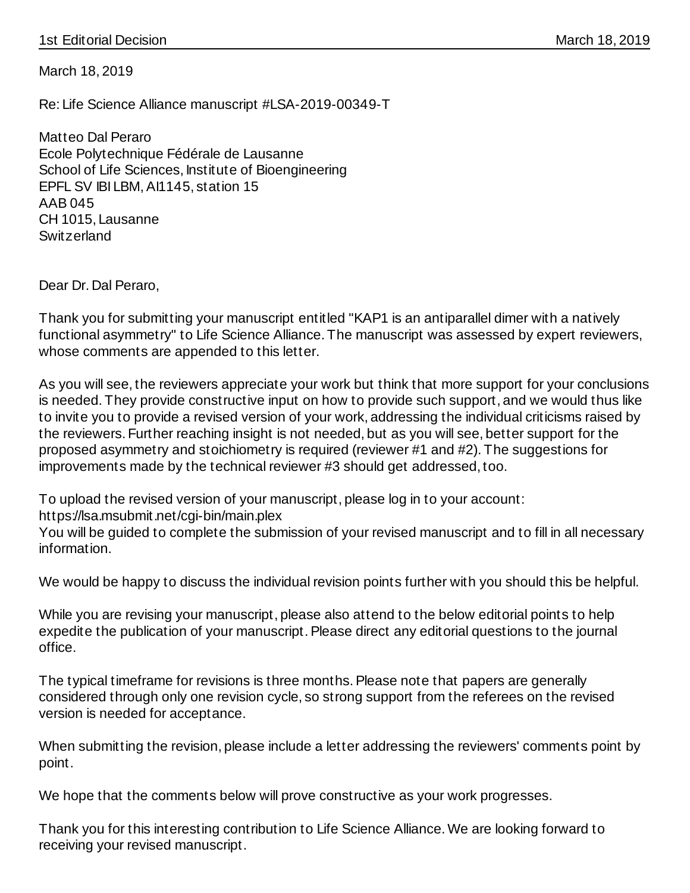# 1st Editorial Decision March 18, 2019

March 18, 2019

Re: Life Science Alliance manuscript #LSA-2019-00349-T

Matteo Dal Peraro Ecole Polytechnique Fédérale de Lausanne School of Life Sciences, Institute of Bioengineering EPFL SV IBI LBM, AI1145, station 15 AAB 045 CH 1015, Lausanne **Switzerland** 

Dear Dr. Dal Peraro,

Thank you for submitting your manuscript entitled "KAP1 is an antiparallel dimer with a natively functional asymmetry" to Life Science Alliance. The manuscript was assessed by expert reviewers, whose comments are appended to this letter.

As you will see, the reviewers appreciate your work but think that more support for your conclusions is needed. They provide constructive input on how to provide such support, and we would thus like to invite you to provide a revised version of your work, addressing the individual criticisms raised by the reviewers. Further reaching insight is not needed, but as you will see, better support for the proposed asymmetry and stoichiometry is required (reviewer #1 and #2). The suggestions for improvements made by the technical reviewer #3 should get addressed, too.

To upload the revised version of your manuscript, please log in to your account:

https://lsa.msubmit.net/cgi-bin/main.plex

You will be guided to complete the submission of your revised manuscript and to fill in all necessary information.

We would be happy to discuss the individual revision points further with you should this be helpful.

While you are revising your manuscript, please also attend to the below editorial points to help expedite the publication of your manuscript. Please direct any editorial questions to the journal office.

The typical timeframe for revisions is three months. Please note that papers are generally considered through only one revision cycle, so strong support from the referees on the revised version is needed for acceptance.

When submitting the revision, please include a letter addressing the reviewers' comments point by point.

We hope that the comments below will prove constructive as your work progresses.

Thank you for this interesting contribution to Life Science Alliance. We are looking forward to receiving your revised manuscript.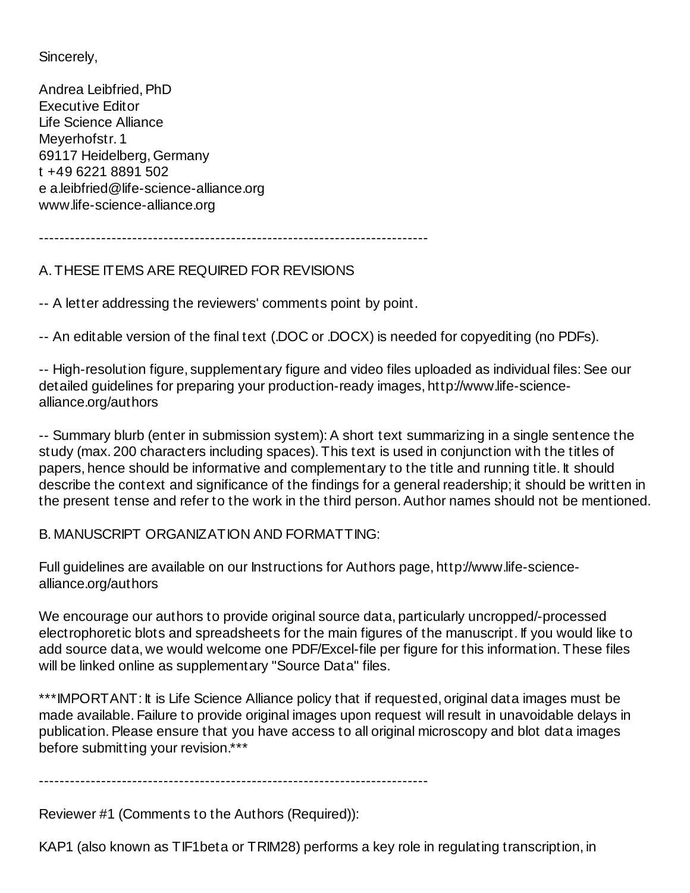Sincerely,

Andrea Leibfried, PhD Executive Editor Life Science Alliance Meyerhofstr. 1 69117 Heidelberg, Germany t +49 6221 8891 502 e a.leibfried@life-science-alliance.org www.life-science-alliance.org

---------------------------------------------------------------------------

# A. THESE ITEMS ARE REQUIRED FOR REVISIONS

-- A letter addressing the reviewers' comments point by point.

-- An editable version of the final text (.DOC or .DOCX) is needed for copyediting (no PDFs).

-- High-resolution figure, supplementary figure and video files uploaded as individual files: See our detailed guidelines for preparing your production-ready images, http://www.life-sciencealliance.org/authors

-- Summary blurb (enter in submission system): A short text summarizing in a single sentence the study (max. 200 characters including spaces). This text is used in conjunction with the titles of papers, hence should be informative and complementary to the title and running title. It should describe the context and significance of the findings for a general readership; it should be written in the present tense and refer to the work in the third person. Author names should not be mentioned.

B. MANUSCRIPT ORGANIZATION AND FORMATTING:

Full guidelines are available on our Instructions for Authors page, http://www.life-sciencealliance.org/authors

We encourage our authors to provide original source data, particularly uncropped/-processed electrophoretic blots and spreadsheets for the main figures of the manuscript. If you would like to add source data, we would welcome one PDF/Excel-file per figure for this information. These files will be linked online as supplementary "Source Data" files.

\*\*\*IMPORTANT: It is Life Science Alliance policy that if requested, original data images must be made available. Failure to provide original images upon request will result in unavoidable delays in publication. Please ensure that you have access to all original microscopy and blot data images before submitting your revision.\*\*\*

---------------------------------------------------------------------------

Reviewer #1 (Comments to the Authors (Required)):

KAP1 (also known as TIF1beta or TRIM28) performs a key role in regulating transcription, in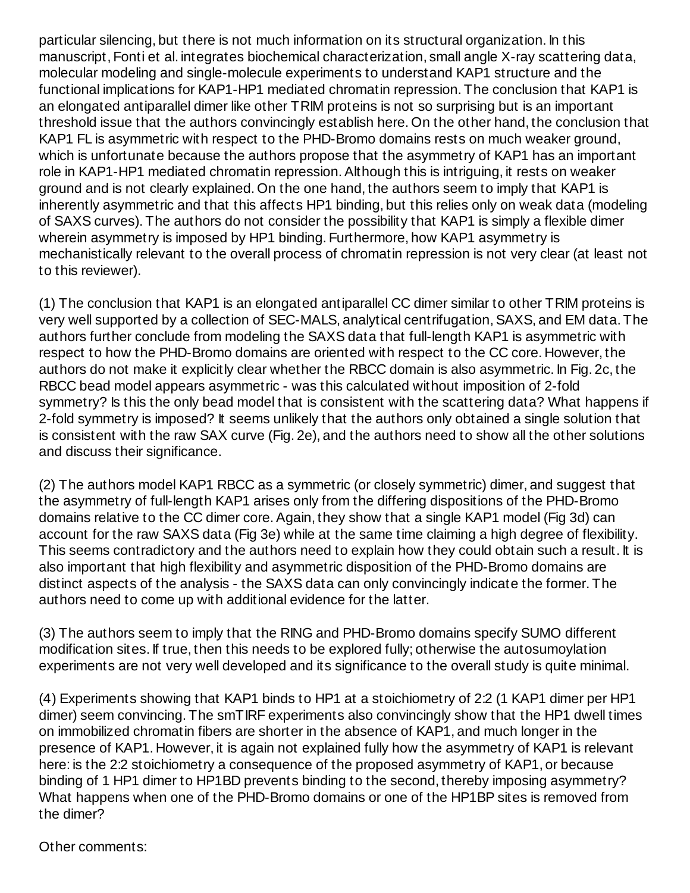particular silencing, but there is not much information on its structural organization. In this manuscript, Fonti et al. integrates biochemical characterization, small angle X-ray scattering data, molecular modeling and single-molecule experiments to understand KAP1 structure and the functional implications for KAP1-HP1 mediated chromatin repression. The conclusion that KAP1 is an elongated antiparallel dimer like other TRIM proteins is not so surprising but is an important threshold issue that the authors convincingly establish here. On the other hand, the conclusion that KAP1 FL is asymmetric with respect to the PHD-Bromo domains rests on much weaker ground, which is unfortunate because the authors propose that the asymmetry of KAP1 has an important role in KAP1-HP1 mediated chromatin repression. Although this is intriguing, it rests on weaker ground and is not clearly explained. On the one hand, the authors seem to imply that KAP1 is inherently asymmetric and that this affects HP1 binding, but this relies only on weak data (modeling of SAXS curves). The authors do not consider the possibility that KAP1 is simply a flexible dimer wherein asymmetry is imposed by HP1 binding. Furthermore, how KAP1 asymmetry is mechanistically relevant to the overall process of chromatin repression is not very clear (at least not to this reviewer).

(1) The conclusion that KAP1 is an elongated antiparallel CC dimer similar to other TRIM proteins is very well supported by a collection of SEC-MALS, analytical centrifugation, SAXS, and EM data. The authors further conclude from modeling the SAXS data that full-length KAP1 is asymmetric with respect to how the PHD-Bromo domains are oriented with respect to the CC core. However, the authors do not make it explicitly clear whether the RBCC domain is also asymmetric. In Fig. 2c, the RBCC bead model appears asymmetric - was this calculated without imposition of 2-fold symmetry? Is this the only bead model that is consistent with the scattering data? What happens if 2-fold symmetry is imposed? It seems unlikely that the authors only obtained a single solution that is consistent with the raw SAX curve (Fig. 2e), and the authors need to show all the other solutions and discuss their significance.

(2) The authors model KAP1 RBCC as a symmetric (or closely symmetric) dimer, and suggest that the asymmetry of full-length KAP1 arises only from the differing dispositions of the PHD-Bromo domains relative to the CC dimer core. Again, they show that a single KAP1 model (Fig 3d) can account for the raw SAXS data (Fig 3e) while at the same time claiming a high degree of flexibility. This seems contradictory and the authors need to explain how they could obtain such a result. It is also important that high flexibility and asymmetric disposition of the PHD-Bromo domains are distinct aspects of the analysis - the SAXS data can only convincingly indicate the former. The authors need to come up with additional evidence for the latter.

(3) The authors seem to imply that the RING and PHD-Bromo domains specify SUMO different modification sites. If true, then this needs to be explored fully; otherwise the autosumoylation experiments are not very well developed and its significance to the overall study is quite minimal.

(4) Experiments showing that KAP1 binds to HP1 at a stoichiometry of 2:2 (1 KAP1 dimer per HP1 dimer) seem convincing. The smTIRF experiments also convincingly show that the HP1 dwell times on immobilized chromatin fibers are shorter in the absence of KAP1, and much longer in the presence of KAP1. However, it is again not explained fully how the asymmetry of KAP1 is relevant here: is the 2:2 stoichiometry a consequence of the proposed asymmetry of KAP1, or because binding of 1 HP1 dimer to HP1BD prevents binding to the second, thereby imposing asymmetry? What happens when one of the PHD-Bromo domains or one of the HP1BP sites is removed from the dimer?

Other comments: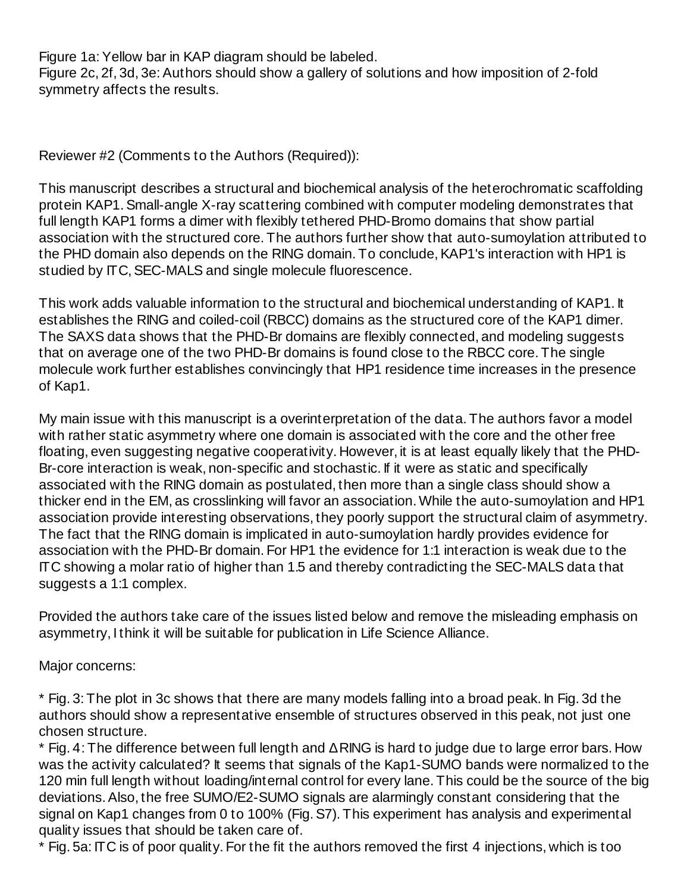Figure 1a: Yellow bar in KAP diagram should be labeled. Figure 2c, 2f, 3d, 3e: Authors should show a gallery of solutions and how imposition of 2-fold symmetry affects the results.

Reviewer #2 (Comments to the Authors (Required)):

This manuscript describes a structural and biochemical analysis of the heterochromatic scaffolding protein KAP1. Small-angle X-ray scattering combined with computer modeling demonstrates that full length KAP1 forms a dimer with flexibly tethered PHD-Bromo domains that show partial association with the structured core. The authors further show that auto-sumoylation attributed to the PHD domain also depends on the RING domain. To conclude, KAP1's interaction with HP1 is studied by ITC, SEC-MALS and single molecule fluorescence.

This work adds valuable information to the structural and biochemical understanding of KAP1. It establishes the RING and coiled-coil (RBCC) domains as the structured core of the KAP1 dimer. The SAXS data shows that the PHD-Br domains are flexibly connected, and modeling suggests that on average one of the two PHD-Br domains is found close to the RBCC core. The single molecule work further establishes convincingly that HP1 residence time increases in the presence of Kap1.

My main issue with this manuscript is a overinterpretation of the data. The authors favor a model with rather static asymmetry where one domain is associated with the core and the other free floating, even suggesting negative cooperativity. However, it is at least equally likely that the PHD-Br-core interaction is weak, non-specific and stochastic. If it were as static and specifically associated with the RING domain as postulated, then more than a single class should show a thicker end in the EM, as crosslinking will favor an association. While the auto-sumoylation and HP1 association provide interesting observations, they poorly support the structural claim of asymmetry. The fact that the RING domain is implicated in auto-sumoylation hardly provides evidence for association with the PHD-Br domain. For HP1 the evidence for 1:1 interaction is weak due to the ITC showing a molar ratio of higher than 1.5 and thereby contradicting the SEC-MALS data that suggests a 1:1 complex.

Provided the authors take care of the issues listed below and remove the misleading emphasis on asymmetry, I think it will be suitable for publication in Life Science Alliance.

Major concerns:

\* Fig. 3: The plot in 3c shows that there are many models falling into a broad peak. In Fig. 3d the authors should show a representative ensemble of structures observed in this peak, not just one chosen structure.

\* Fig. 4: The difference between full length and ΔRING is hard to judge due to large error bars. How was the activity calculated? It seems that signals of the Kap1-SUMO bands were normalized to the 120 min full length without loading/internal control for every lane. This could be the source of the big deviations. Also, the free SUMO/E2-SUMO signals are alarmingly constant considering that the signal on Kap1 changes from 0 to 100% (Fig. S7). This experiment has analysis and experimental quality issues that should be taken care of.

\* Fig. 5a: ITC is of poor quality. For the fit the authors removed the first 4 injections, which is too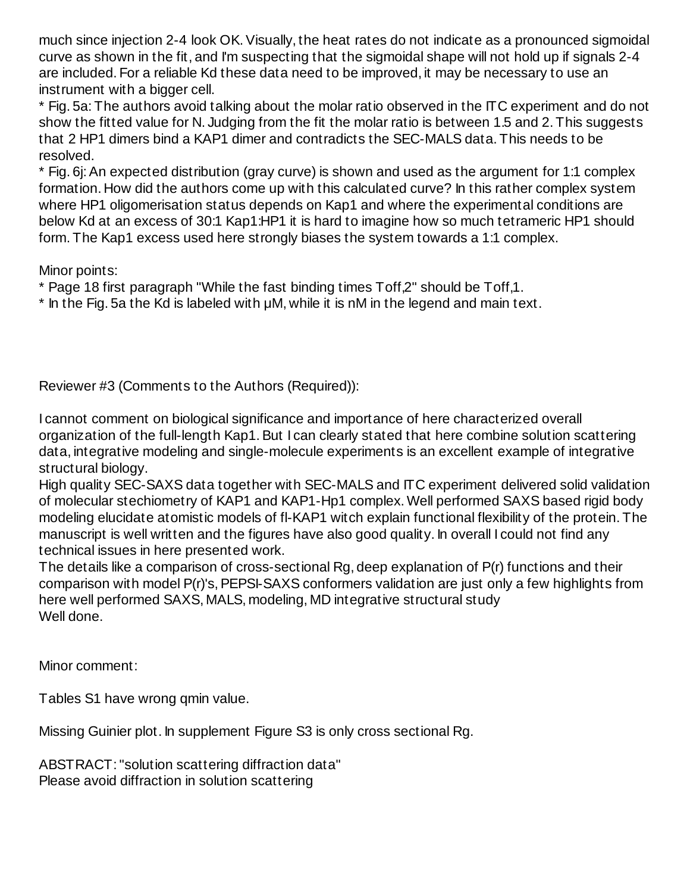much since injection 2-4 look OK. Visually, the heat rates do not indicate as a pronounced sigmoidal curve as shown in the fit, and I'm suspecting that the sigmoidal shape will not hold up if signals 2-4 are included. For a reliable Kd these data need to be improved, it may be necessary to use an instrument with a bigger cell.

\* Fig. 5a: The authors avoid talking about the molar ratio observed in the ITC experiment and do not show the fitted value for N. Judging from the fit the molar ratio is between 1.5 and 2. This suggests that 2 HP1 dimers bind a KAP1 dimer and contradicts the SEC-MALS data. This needs to be resolved.

\* Fig. 6j: An expected distribution (gray curve) is shown and used as the argument for 1:1 complex formation. How did the authors come up with this calculated curve? In this rather complex system where HP1 oligomerisation status depends on Kap1 and where the experimental conditions are below Kd at an excess of 30:1 Kap1:HP1 it is hard to imagine how so much tetrameric HP1 should form. The Kap1 excess used here strongly biases the system towards a 1:1 complex.

Minor points:

\* Page 18 first paragraph "While the fast binding times Toff,2" should be Toff,1.

\* In the Fig. 5a the Kd is labeled with μM, while it is nM in the legend and main text.

Reviewer #3 (Comments to the Authors (Required)):

I cannot comment on biological significance and importance of here characterized overall organization of the full-length Kap1. But I can clearly stated that here combine solution scattering data, integrative modeling and single-molecule experiments is an excellent example of integrative structural biology.

High quality SEC-SAXS data together with SEC-MALS and ITC experiment delivered solid validation of molecular stechiometry of KAP1 and KAP1-Hp1 complex. Well performed SAXS based rigid body modeling elucidate atomistic models of fl-KAP1 witch explain functional flexibility of the protein. The manuscript is well written and the figures have also good quality. In overall I could not find any technical issues in here presented work.

The details like a comparison of cross-sectional Rg, deep explanation of P(r) functions and their comparison with model P(r)'s, PEPSI-SAXS conformers validation are just only a few highlights from here well performed SAXS, MALS, modeling, MD integrative structural study Well done.

Minor comment:

Tables S1 have wrong qmin value.

Missing Guinier plot. In supplement Figure S3 is only cross sectional Rg.

ABSTRACT: "solution scattering diffraction data" Please avoid diffraction in solution scattering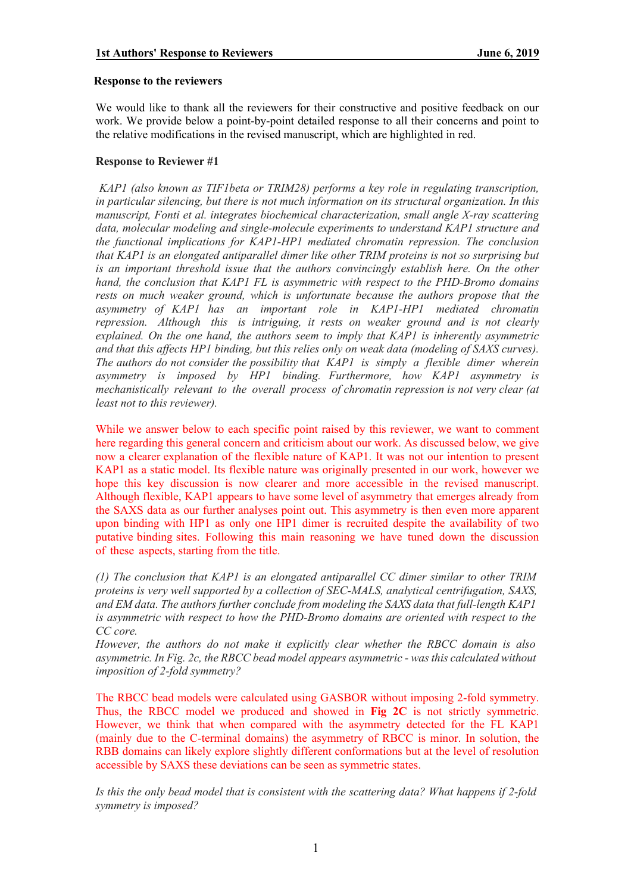#### **Response to the reviewers**

We would like to thank all the reviewers for their constructive and positive feedback on our work. We provide below a point-by-point detailed response to all their concerns and point to the relative modifications in the revised manuscript, which are highlighted in red.

#### **Response to Reviewer #1**

*KAP1 (also known as TIF1beta or TRIM28) performs a key role in regulating transcription, in particular silencing, but there is not much information on its structural organization. In this manuscript, Fonti et al. integrates biochemical characterization, small angle X-ray scattering data, molecular modeling and single-molecule experiments to understand KAP1 structure and the functional implications for KAP1-HP1 mediated chromatin repression. The conclusion that KAP1 is an elongated antiparallel dimer like other TRIM proteins is not so surprising but*  is an important threshold issue that the authors convincingly establish here. On the other *hand, the conclusion that KAP1 FL is asymmetric with respect to the PHD-Bromo domains rests on much weaker ground, which is unfortunate because the authors propose that the asymmetry of KAP1 has an important role in KAP1-HP1 mediated chromatin repression. Although this is intriguing, it rests on weaker ground and is not clearly explained. On the one hand, the authors seem to imply that KAP1 is inherently asymmetric and that this affects HP1 binding, but this relies only on weak data (modeling of SAXS curves). The authors do not consider the possibility that KAP1 is simply a flexible dimer wherein asymmetry is imposed by HP1 binding. Furthermore, how KAP1 asymmetry is mechanistically relevant to the overall process of chromatin repression is not very clear (at least not to this reviewer).* 

While we answer below to each specific point raised by this reviewer, we want to comment here regarding this general concern and criticism about our work. As discussed below, we give now a clearer explanation of the flexible nature of KAP1. It was not our intention to present KAP1 as a static model. Its flexible nature was originally presented in our work, however we hope this key discussion is now clearer and more accessible in the revised manuscript. Although flexible, KAP1 appears to have some level of asymmetry that emerges already from the SAXS data as our further analyses point out. This asymmetry is then even more apparent upon binding with HP1 as only one HP1 dimer is recruited despite the availability of two putative binding sites. Following this main reasoning we have tuned down the discussion of these aspects, starting from the title.

*(1) The conclusion that KAP1 is an elongated antiparallel CC dimer similar to other TRIM proteins is very well supported by a collection of SEC-MALS, analytical centrifugation, SAXS, and EM data. The authors further conclude from modeling the SAXS data that full-length KAP1 is asymmetric with respect to how the PHD-Bromo domains are oriented with respect to the CC core.*

*However, the authors do not make it explicitly clear whether the RBCC domain is also asymmetric. In Fig. 2c, the RBCC bead model appears asymmetric - wasthis calculated without imposition of 2-fold symmetry?*

The RBCC bead models were calculated using GASBOR without imposing 2-fold symmetry. Thus, the RBCC model we produced and showed in **Fig 2C** is not strictly symmetric. However, we think that when compared with the asymmetry detected for the FL KAP1 (mainly due to the C-terminal domains) the asymmetry of RBCC is minor. In solution, the RBB domains can likely explore slightly different conformations but at the level of resolution accessible by SAXS these deviations can be seen as symmetric states.

*Is this the only bead model that is consistent with the scattering data? What happens if 2-fold symmetry is imposed?*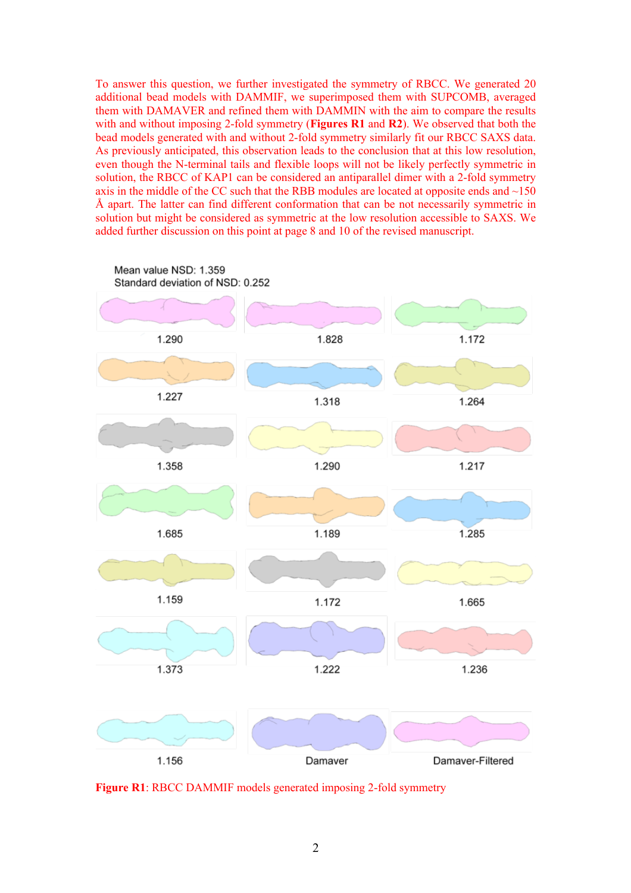To answer this question, we further investigated the symmetry of RBCC. We generated 20 additional bead models with DAMMIF, we superimposed them with SUPCOMB, averaged them with DAMAVER and refined them with DAMMIN with the aim to compare the results with and without imposing 2-fold symmetry (**Figures R1** and **R2**). We observed that both the bead models generated with and without 2-fold symmetry similarly fit our RBCC SAXS data. As previously anticipated, this observation leads to the conclusion that at this low resolution, even though the N-terminal tails and flexible loops will not be likely perfectly symmetric in solution, the RBCC of KAP1 can be considered an antiparallel dimer with a 2-fold symmetry axis in the middle of the CC such that the RBB modules are located at opposite ends and  $\sim$ 150 Å apart. The latter can find different conformation that can be not necessarily symmetric in solution but might be considered as symmetric at the low resolution accessible to SAXS. We added further discussion on this point at page 8 and 10 of the revised manuscript.



**Figure R1**: RBCC DAMMIF models generated imposing 2-fold symmetry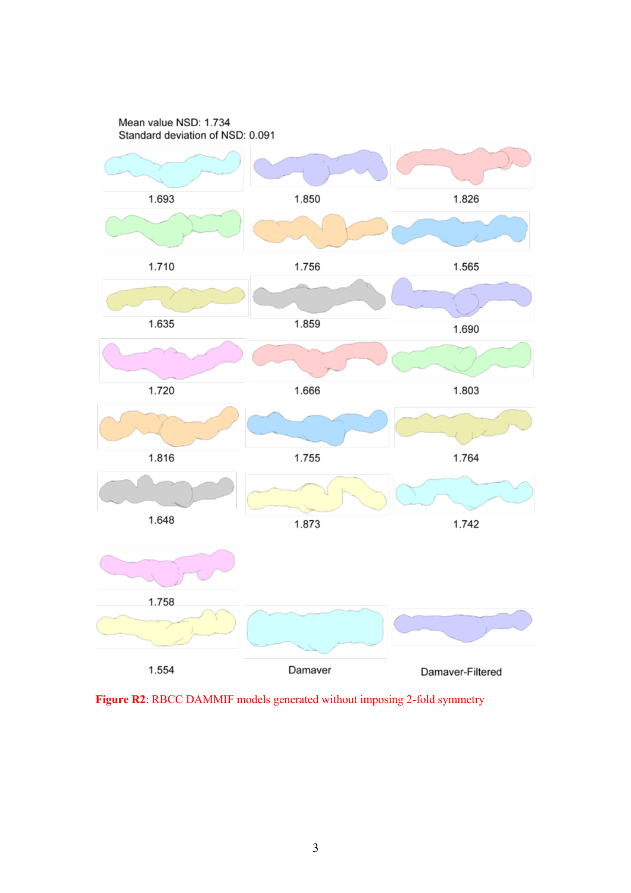

Figure R2: RBCC DAMMIF models generated without imposing 2-fold symmetry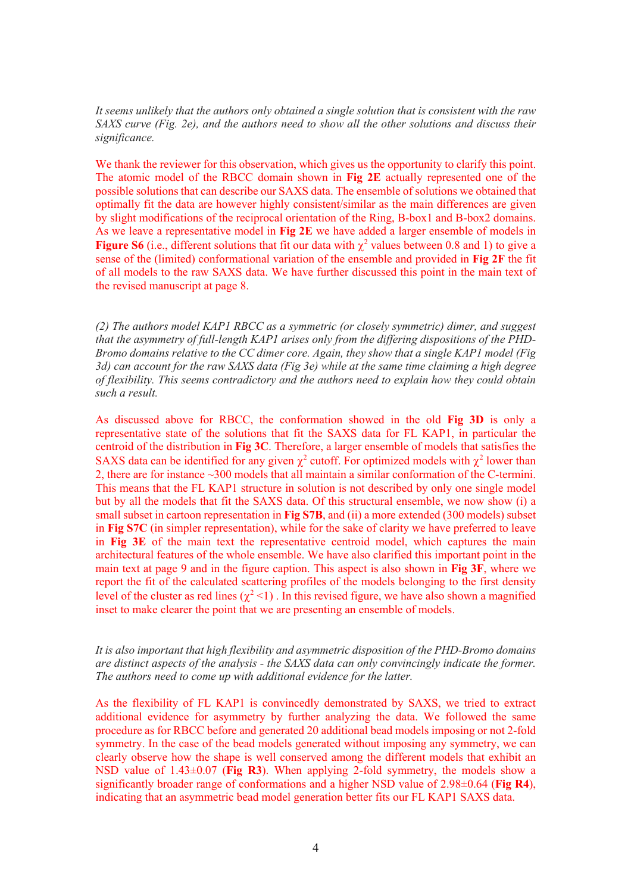*It seems unlikely that the authors only obtained a single solution that is consistent with the raw SAXS curve (Fig. 2e), and the authors need to show all the other solutions and discuss their significance.*

We thank the reviewer for this observation, which gives us the opportunity to clarify this point. The atomic model of the RBCC domain shown in **Fig 2E** actually represented one of the possible solutions that can describe our SAXS data. The ensemble of solutions we obtained that optimally fit the data are however highly consistent/similar as the main differences are given by slight modifications of the reciprocal orientation of the Ring, B-box1 and B-box2 domains. As we leave a representative model in **Fig 2E** we have added a larger ensemble of models in **Figure S6** (i.e., different solutions that fit our data with  $\chi^2$  values between 0.8 and 1) to give a sense of the (limited) conformational variation of the ensemble and provided in **Fig 2F** the fit of all models to the raw SAXS data. We have further discussed this point in the main text of the revised manuscript at page 8.

*(2) The authors model KAP1 RBCC as a symmetric (or closely symmetric) dimer, and suggest that the asymmetry of full-length KAP1 arises only from the differing dispositions of the PHD-Bromo domains relative to the CC dimer core. Again, they show that a single KAP1 model (Fig 3d) can account for the raw SAXS data (Fig 3e) while at the same time claiming a high degree of flexibility. This seems contradictory and the authors need to explain how they could obtain such a result.*

As discussed above for RBCC, the conformation showed in the old **Fig 3D** is only a representative state of the solutions that fit the SAXS data for FL KAP1, in particular the centroid of the distribution in **Fig 3C**. Therefore, a larger ensemble of models that satisfies the SAXS data can be identified for any given  $\chi^2$  cutoff. For optimized models with  $\chi^2$  lower than 2, there are for instance ~300 models that all maintain a similar conformation of the C-termini. This means that the FL KAP1 structure in solution is not described by only one single model but by all the models that fit the SAXS data. Of this structural ensemble, we now show (i) a small subset in cartoon representation in **Fig S7B**, and (ii) a more extended (300 models) subset in **Fig S7C** (in simpler representation), while for the sake of clarity we have preferred to leave in **Fig 3E** of the main text the representative centroid model, which captures the main architectural features of the whole ensemble. We have also clarified this important point in the main text at page 9 and in the figure caption. This aspect is also shown in **Fig 3F**, where we report the fit of the calculated scattering profiles of the models belonging to the first density level of the cluster as red lines  $(\chi^2 < 1)$ . In this revised figure, we have also shown a magnified inset to make clearer the point that we are presenting an ensemble of models.

#### *It is also important that high flexibility and asymmetric disposition of the PHD-Bromo domains are distinct aspects of the analysis - the SAXS data can only convincingly indicate the former. The authors need to come up with additional evidence for the latter.*

As the flexibility of FL KAP1 is convincedly demonstrated by SAXS, we tried to extract additional evidence for asymmetry by further analyzing the data. We followed the same procedure as for RBCC before and generated 20 additional bead models imposing or not 2-fold symmetry. In the case of the bead models generated without imposing any symmetry, we can clearly observe how the shape is well conserved among the different models that exhibit an NSD value of 1.43±0.07 (**Fig R3**). When applying 2-fold symmetry, the models show a significantly broader range of conformations and a higher NSD value of 2.98±0.64 (**Fig R4**), indicating that an asymmetric bead model generation better fits our FL KAP1 SAXS data.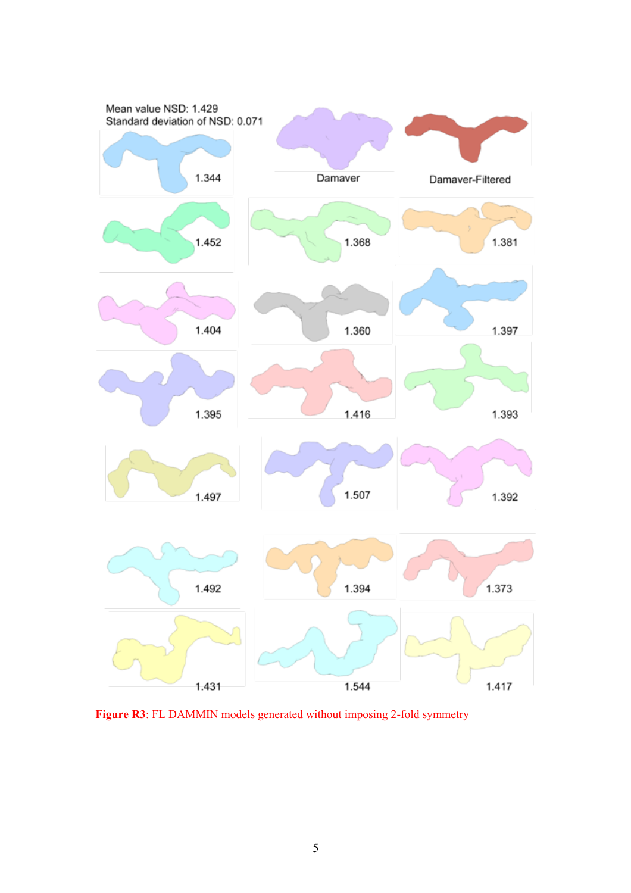

**Figure R3**: FL DAMMIN models generated without imposing 2-fold symmetry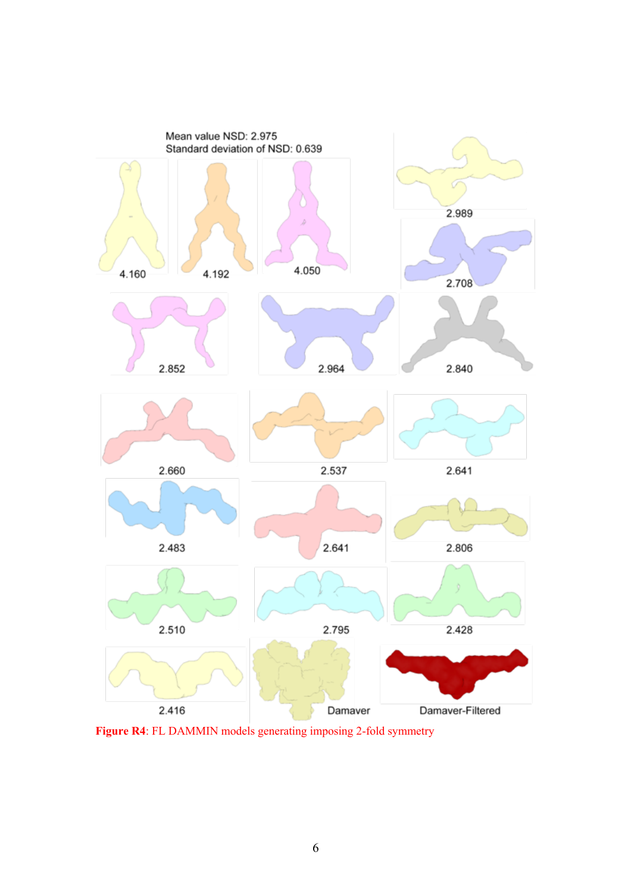

**Figure R4**: FL DAMMIN models generating imposing 2-fold symmetry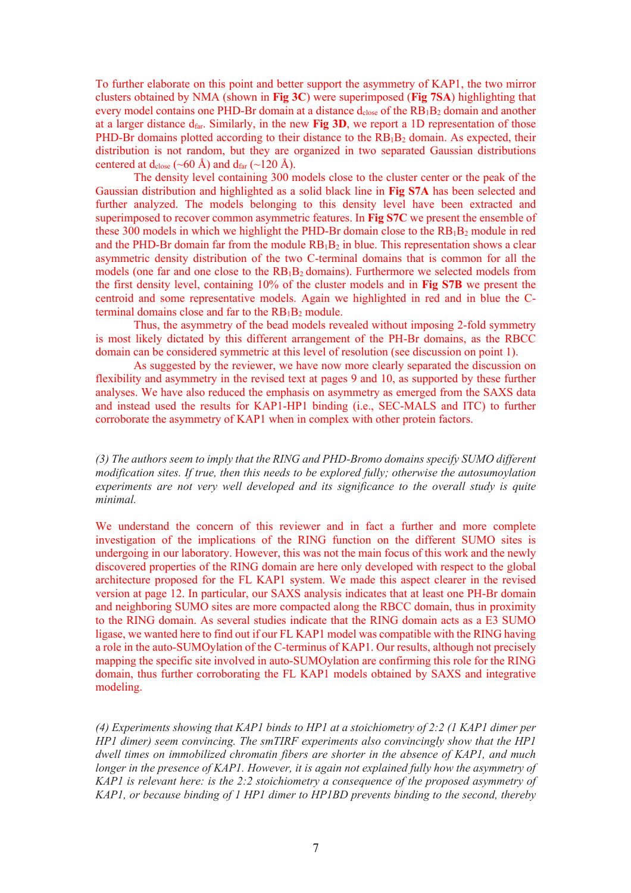To further elaborate on this point and better support the asymmetry of KAP1, the two mirror clusters obtained by NMA (shown in **Fig 3C**) were superimposed (**Fig 7SA**) highlighting that every model contains one PHD-Br domain at a distance  $d_{close}$  of the  $RB_1B_2$  domain and another at a larger distance dfar. Similarly, in the new **Fig 3D**, we report a 1D representation of those PHD-Br domains plotted according to their distance to the  $RB_1B_2$  domain. As expected, their distribution is not random, but they are organized in two separated Gaussian distributions centered at d<sub>close</sub> (~60 Å) and d<sub>far</sub> (~120 Å).

The density level containing 300 models close to the cluster center or the peak of the Gaussian distribution and highlighted as a solid black line in **Fig S7A** has been selected and further analyzed. The models belonging to this density level have been extracted and superimposed to recover common asymmetric features. In **Fig S7C** we present the ensemble of these 300 models in which we highlight the PHD-Br domain close to the  $RB_1B_2$  module in red and the PHD-Br domain far from the module  $RB_1B_2$  in blue. This representation shows a clear asymmetric density distribution of the two C-terminal domains that is common for all the models (one far and one close to the RB1B2 domains). Furthermore we selected models from the first density level, containing 10% of the cluster models and in **Fig S7B** we present the centroid and some representative models. Again we highlighted in red and in blue the Cterminal domains close and far to the  $RB_1B_2$  module.

Thus, the asymmetry of the bead models revealed without imposing 2-fold symmetry is most likely dictated by this different arrangement of the PH-Br domains, as the RBCC domain can be considered symmetric at this level of resolution (see discussion on point 1).

As suggested by the reviewer, we have now more clearly separated the discussion on flexibility and asymmetry in the revised text at pages 9 and 10, as supported by these further analyses. We have also reduced the emphasis on asymmetry as emerged from the SAXS data and instead used the results for KAP1-HP1 binding (i.e., SEC-MALS and ITC) to further corroborate the asymmetry of KAP1 when in complex with other protein factors.

*(3) The authors seem to imply that the RING and PHD-Bromo domains specify SUMO different modification sites. If true, then this needs to be explored fully; otherwise the autosumoylation experiments are not very well developed and its significance to the overall study is quite minimal.*

We understand the concern of this reviewer and in fact a further and more complete investigation of the implications of the RING function on the different SUMO sites is undergoing in our laboratory. However, this was not the main focus of this work and the newly discovered properties of the RING domain are here only developed with respect to the global architecture proposed for the FL KAP1 system. We made this aspect clearer in the revised version at page 12. In particular, our SAXS analysis indicates that at least one PH-Br domain and neighboring SUMO sites are more compacted along the RBCC domain, thus in proximity to the RING domain. As several studies indicate that the RING domain acts as a E3 SUMO ligase, we wanted here to find out if our FL KAP1 model was compatible with the RING having a role in the auto-SUMOylation of the C-terminus of KAP1. Our results, although not precisely mapping the specific site involved in auto-SUMOylation are confirming this role for the RING domain, thus further corroborating the FL KAP1 models obtained by SAXS and integrative modeling.

*(4) Experiments showing that KAP1 binds to HP1 at a stoichiometry of 2:2 (1 KAP1 dimer per HP1 dimer) seem convincing. The smTIRF experiments also convincingly show that the HP1 dwell times on immobilized chromatin fibers are shorter in the absence of KAP1, and much longer in the presence of KAP1. However, it is again not explained fully how the asymmetry of KAP1 is relevant here: is the 2:2 stoichiometry a consequence of the proposed asymmetry of KAP1, or because binding of 1 HP1 dimer to HP1BD prevents binding to the second, thereby*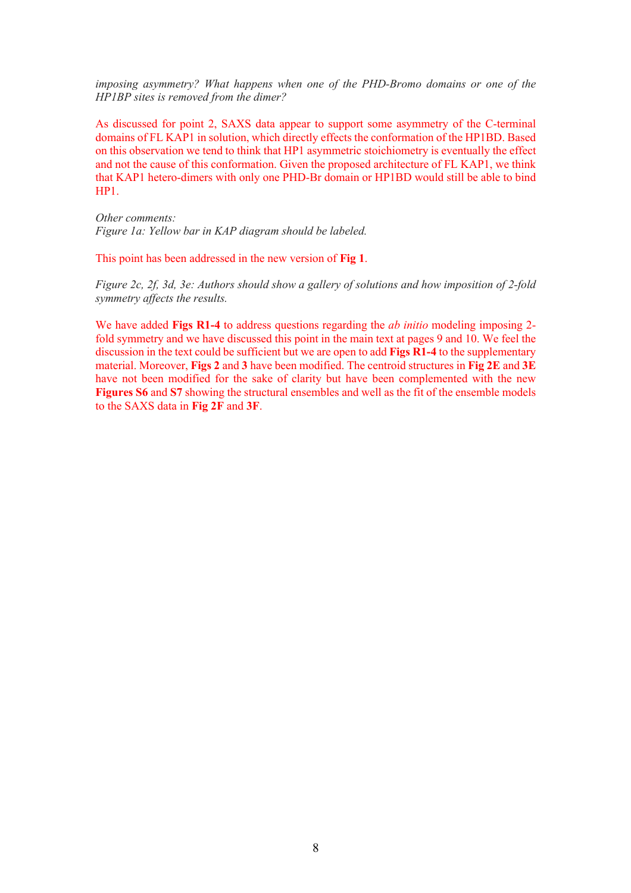*imposing asymmetry? What happens when one of the PHD-Bromo domains or one of the HP1BP sites is removed from the dimer?*

As discussed for point 2, SAXS data appear to support some asymmetry of the C-terminal domains of FL KAP1 in solution, which directly effects the conformation of the HP1BD. Based on this observation we tend to think that HP1 asymmetric stoichiometry is eventually the effect and not the cause of this conformation. Given the proposed architecture of FL KAP1, we think that KAP1 hetero-dimers with only one PHD-Br domain or HP1BD would still be able to bind HP1.

*Other comments: Figure 1a: Yellow bar in KAP diagram should be labeled.*

This point has been addressed in the new version of **Fig 1**.

*Figure 2c, 2f, 3d, 3e: Authors should show a gallery of solutions and how imposition of 2-fold symmetry affects the results.*

We have added **Figs R1-4** to address questions regarding the *ab initio* modeling imposing 2 fold symmetry and we have discussed this point in the main text at pages 9 and 10. We feel the discussion in the text could be sufficient but we are open to add **Figs R1-4** to the supplementary material. Moreover, **Figs 2** and **3** have been modified. The centroid structures in **Fig 2E** and **3E** have not been modified for the sake of clarity but have been complemented with the new **Figures S6** and S7 showing the structural ensembles and well as the fit of the ensemble models to the SAXS data in **Fig 2F** and **3F**.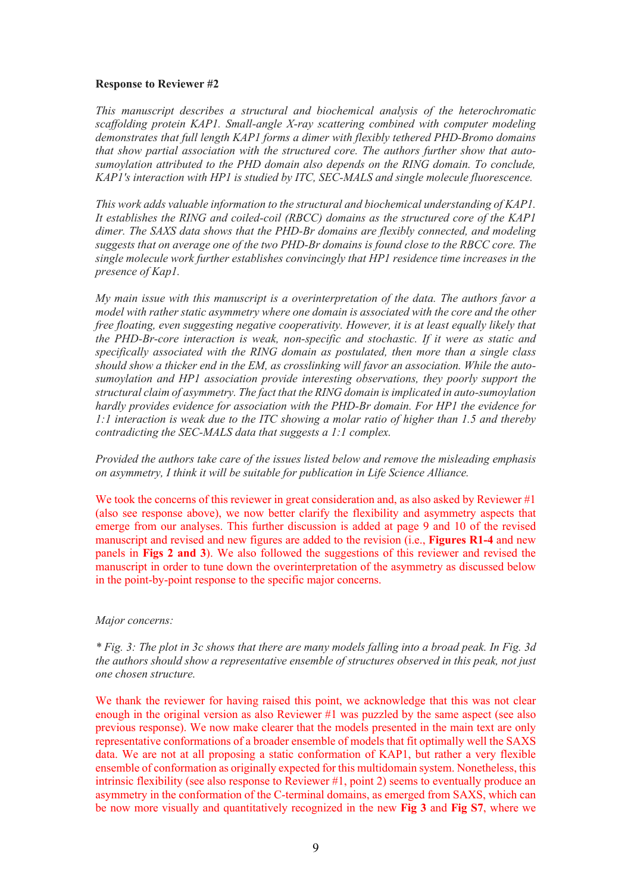#### **Response to Reviewer #2**

*This manuscript describes a structural and biochemical analysis of the heterochromatic scaffolding protein KAP1. Small-angle X-ray scattering combined with computer modeling demonstrates that full length KAP1 forms a dimer with flexibly tethered PHD-Bromo domains that show partial association with the structured core. The authors further show that autosumoylation attributed to the PHD domain also depends on the RING domain. To conclude, KAP1's interaction with HP1 is studied by ITC, SEC-MALS and single molecule fluorescence.*

*This work adds valuable information to the structural and biochemical understanding of KAP1. It establishes the RING and coiled-coil (RBCC) domains as the structured core of the KAP1 dimer. The SAXS data shows that the PHD-Br domains are flexibly connected, and modeling suggests that on average one of the two PHD-Br domains is found close to the RBCC core. The single molecule work further establishes convincingly that HP1 residence time increases in the presence of Kap1.*

*My main issue with this manuscript is a overinterpretation of the data. The authors favor a model with rather static asymmetry where one domain is associated with the core and the other free floating, even suggesting negative cooperativity. However, it is at least equally likely that the PHD-Br-core interaction is weak, non-specific and stochastic. If it were as static and specifically associated with the RING domain as postulated, then more than a single class should show a thicker end in the EM, as crosslinking will favor an association. While the autosumoylation and HP1 association provide interesting observations, they poorly support the structural claim of asymmetry. The fact that the RING domain is implicated in auto-sumoylation hardly provides evidence for association with the PHD-Br domain. For HP1 the evidence for 1:1 interaction is weak due to the ITC showing a molar ratio of higher than 1.5 and thereby contradicting the SEC-MALS data that suggests a 1:1 complex.* 

*Provided the authors take care of the issues listed below and remove the misleading emphasis on asymmetry, I think it will be suitable for publication in Life Science Alliance.*

We took the concerns of this reviewer in great consideration and, as also asked by Reviewer  $\#1$ (also see response above), we now better clarify the flexibility and asymmetry aspects that emerge from our analyses. This further discussion is added at page 9 and 10 of the revised manuscript and revised and new figures are added to the revision (i.e., **Figures R1-4** and new panels in **Figs 2 and 3**). We also followed the suggestions of this reviewer and revised the manuscript in order to tune down the overinterpretation of the asymmetry as discussed below in the point-by-point response to the specific major concerns.

#### *Major concerns:*

*\* Fig. 3: The plot in 3c shows that there are many models falling into a broad peak. In Fig. 3d the authors should show a representative ensemble of structures observed in this peak, not just one chosen structure.*

We thank the reviewer for having raised this point, we acknowledge that this was not clear enough in the original version as also Reviewer #1 was puzzled by the same aspect (see also previous response). We now make clearer that the models presented in the main text are only representative conformations of a broader ensemble of models that fit optimally well the SAXS data. We are not at all proposing a static conformation of KAP1, but rather a very flexible ensemble of conformation as originally expected for this multidomain system. Nonetheless, this intrinsic flexibility (see also response to Reviewer #1, point 2) seems to eventually produce an asymmetry in the conformation of the C-terminal domains, as emerged from SAXS, which can be now more visually and quantitatively recognized in the new **Fig 3** and **Fig S7**, where we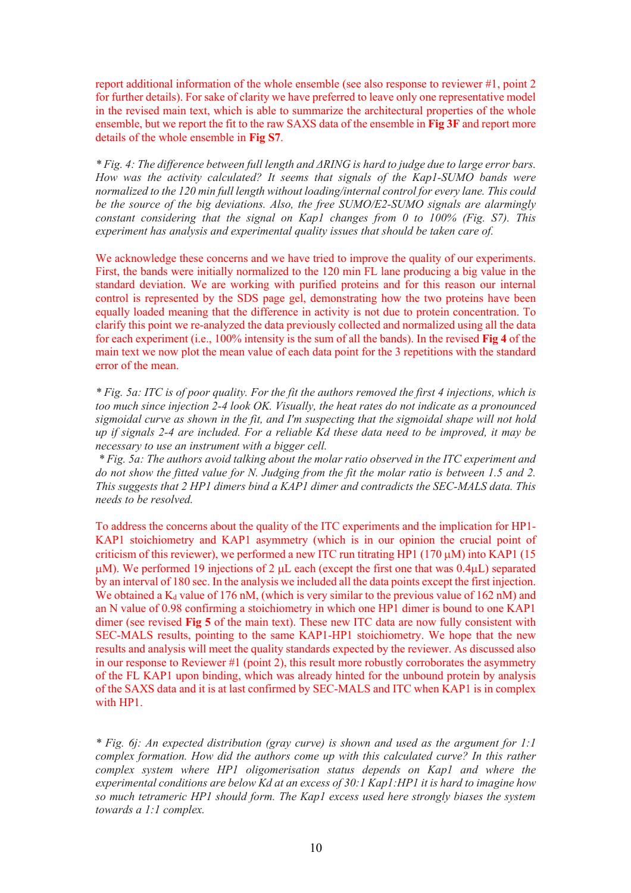report additional information of the whole ensemble (see also response to reviewer #1, point 2 for further details). For sake of clarity we have preferred to leave only one representative model in the revised main text, which is able to summarize the architectural properties of the whole ensemble, but we report the fit to the raw SAXS data of the ensemble in **Fig 3F** and report more details of the whole ensemble in **Fig S7**.

*\* Fig. 4: The difference between full length and ΔRING is hard to judge due to large error bars. How was the activity calculated? It seems that signals of the Kap1-SUMO bands were normalized to the 120 min full length without loading/internal control for every lane. This could be the source of the big deviations. Also, the free SUMO/E2-SUMO signals are alarmingly constant considering that the signal on Kap1 changes from 0 to 100% (Fig. S7). This experiment has analysis and experimental quality issues that should be taken care of.*

We acknowledge these concerns and we have tried to improve the quality of our experiments. First, the bands were initially normalized to the 120 min FL lane producing a big value in the standard deviation. We are working with purified proteins and for this reason our internal control is represented by the SDS page gel, demonstrating how the two proteins have been equally loaded meaning that the difference in activity is not due to protein concentration. To clarify this point we re-analyzed the data previously collected and normalized using all the data for each experiment (i.e., 100% intensity is the sum of all the bands). In the revised **Fig 4** of the main text we now plot the mean value of each data point for the 3 repetitions with the standard error of the mean.

*\* Fig. 5a: ITC is of poor quality. For the fit the authors removed the first 4 injections, which is too much since injection 2-4 look OK. Visually, the heat rates do not indicate as a pronounced sigmoidal curve as shown in the fit, and I'm suspecting that the sigmoidal shape will not hold up if signals 2-4 are included. For a reliable Kd these data need to be improved, it may be necessary to use an instrument with a bigger cell.*

*\* Fig. 5a: The authors avoid talking about the molar ratio observed in the ITC experiment and do not show the fitted value for N. Judging from the fit the molar ratio is between 1.5 and 2. This suggests that 2 HP1 dimers bind a KAP1 dimer and contradicts the SEC-MALS data. This needs to be resolved.*

To address the concerns about the quality of the ITC experiments and the implication for HP1- KAP1 stoichiometry and KAP1 asymmetry (which is in our opinion the crucial point of criticism of this reviewer), we performed a new ITC run titrating HP1 (170  $\mu$ M) into KAP1 (15  $\mu$ M). We performed 19 injections of 2  $\mu$ L each (except the first one that was 0.4 $\mu$ L) separated by an interval of 180 sec. In the analysis we included all the data points except the first injection. We obtained a  $K_d$  value of 176 nM, (which is very similar to the previous value of 162 nM) and an N value of 0.98 confirming a stoichiometry in which one HP1 dimer is bound to one KAP1 dimer (see revised **Fig 5** of the main text). These new ITC data are now fully consistent with SEC-MALS results, pointing to the same KAP1-HP1 stoichiometry. We hope that the new results and analysis will meet the quality standards expected by the reviewer. As discussed also in our response to Reviewer #1 (point 2), this result more robustly corroborates the asymmetry of the FL KAP1 upon binding, which was already hinted for the unbound protein by analysis of the SAXS data and it is at last confirmed by SEC-MALS and ITC when KAP1 is in complex with HP1.

*\* Fig. 6j: An expected distribution (gray curve) is shown and used as the argument for 1:1 complex formation. How did the authors come up with this calculated curve? In this rather complex system where HP1 oligomerisation status depends on Kap1 and where the experimental conditions are below Kd at an excess of 30:1 Kap1:HP1 it is hard to imagine how so much tetrameric HP1 should form. The Kap1 excess used here strongly biases the system towards a 1:1 complex.*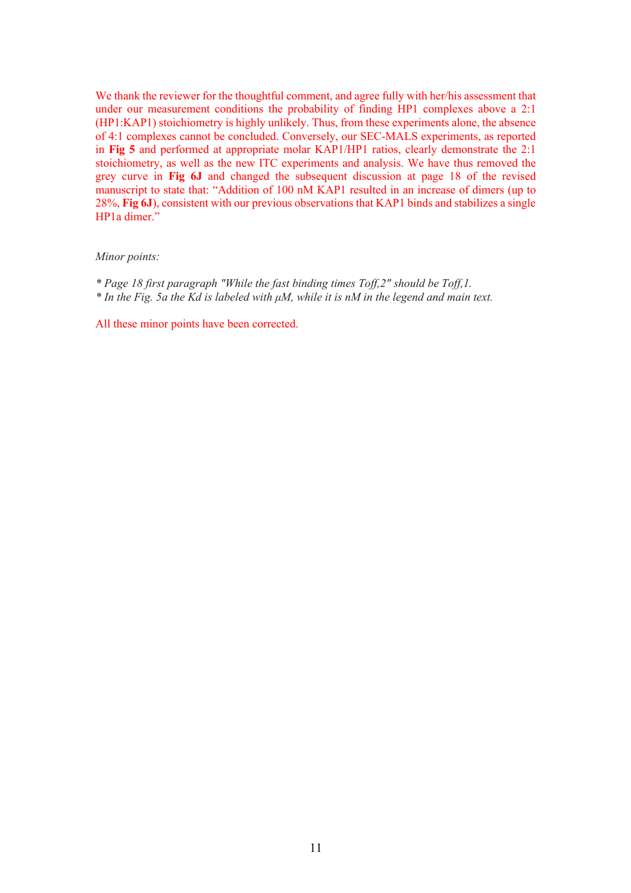We thank the reviewer for the thoughtful comment, and agree fully with her/his assessment that under our measurement conditions the probability of finding HP1 complexes above a 2:1 (HP1:KAP1) stoichiometry is highly unlikely. Thus, from these experiments alone, the absence of 4:1 complexes cannot be concluded. Conversely, our SEC-MALS experiments, as reported in **Fig 5** and performed at appropriate molar KAP1/HP1 ratios, clearly demonstrate the 2:1 stoichiometry, as well as the new ITC experiments and analysis. We have thus removed the grey curve in **Fig 6J** and changed the subsequent discussion at page 18 of the revised manuscript to state that: "Addition of 100 nM KAP1 resulted in an increase of dimers (up to 28%, **Fig 6J**), consistent with our previous observations that KAP1 binds and stabilizes a single HP<sub>1</sub>a dimer."

#### *Minor points:*

- *\* Page 18 first paragraph "While the fast binding times Toff,2" should be Toff,1.*
- *\* In the Fig. 5a the Kd is labeled with μM, while it is nM in the legend and main text.*

All these minor points have been corrected.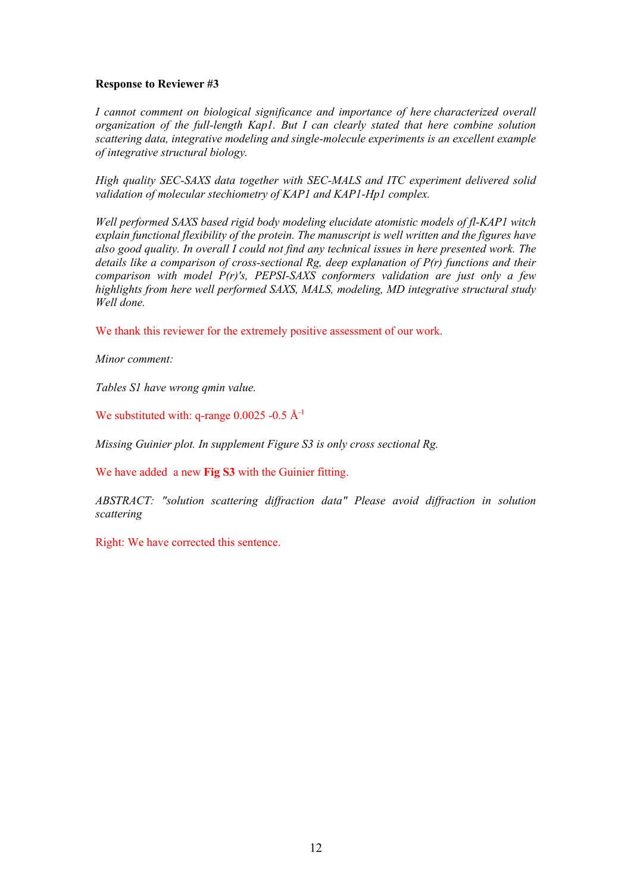#### **Response to Reviewer #3**

*I cannot comment on biological significance and importance of here characterized overall organization of the full-length Kap1. But I can clearly stated that here combine solution scattering data, integrative modeling and single-molecule experiments is an excellent example of integrative structural biology.* 

*High quality SEC-SAXS data together with SEC-MALS and ITC experiment delivered solid validation of molecular stechiometry of KAP1 and KAP1-Hp1 complex.* 

*Well performed SAXS based rigid body modeling elucidate atomistic models of fl-KAP1 witch explain functional flexibility of the protein. The manuscript is well written and the figures have also good quality. In overall I could not find any technical issues in here presented work. The details like a comparison of cross-sectional Rg, deep explanation of P(r) functions and their comparison with model P(r)'s, PEPSI-SAXS conformers validation are just only a few highlights from here well performed SAXS, MALS, modeling, MD integrative structural study Well done.* 

We thank this reviewer for the extremely positive assessment of our work.

*Minor comment:*

*Tables S1 have wrong qmin value.* 

We substituted with: q-range  $0.0025$  -0.5 Å<sup>-1</sup>

*Missing Guinier plot. In supplement Figure S3 is only cross sectional Rg.* 

We have added a new **Fig S3** with the Guinier fitting.

*ABSTRACT: "solution scattering diffraction data" Please avoid diffraction in solution scattering* 

Right: We have corrected this sentence.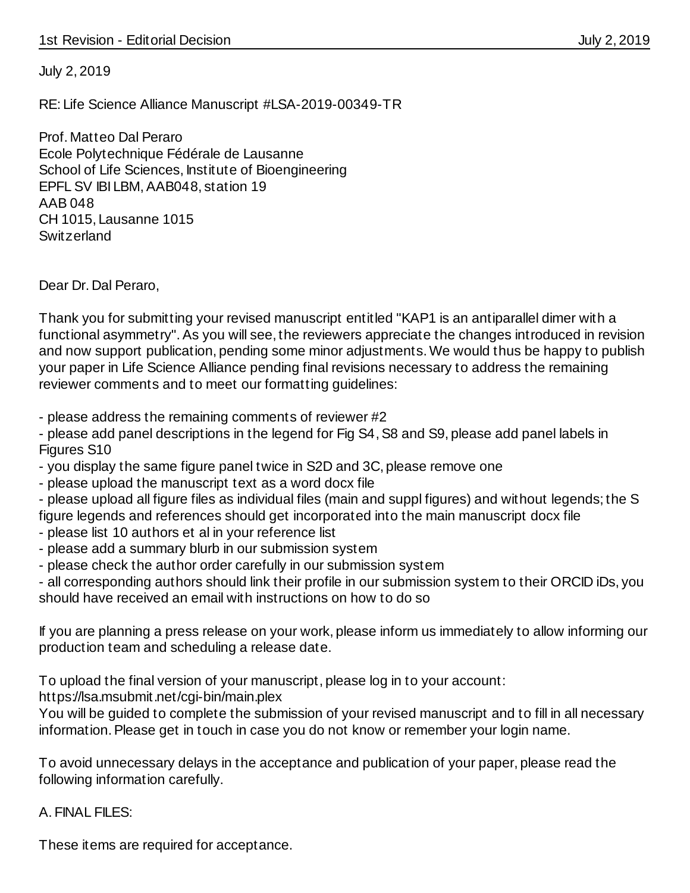July 2, 2019

RE: Life Science Alliance Manuscript #LSA-2019-00349-TR

Prof. Matteo Dal Peraro Ecole Polytechnique Fédérale de Lausanne School of Life Sciences, Institute of Bioengineering EPFL SV IBI LBM, AAB048, station 19 AAB 048 CH 1015, Lausanne 1015 **Switzerland** 

Dear Dr. Dal Peraro,

Thank you for submitting your revised manuscript entitled "KAP1 is an antiparallel dimer with a functional asymmetry". As you will see, the reviewers appreciate the changes introduced in revision and now support publication, pending some minor adjustments. We would thus be happy to publish your paper in Life Science Alliance pending final revisions necessary to address the remaining reviewer comments and to meet our formatting guidelines:

- please address the remaining comments of reviewer #2

- please add panel descriptions in the legend for Fig S4, S8 and S9, please add panel labels in Figures S10

- you display the same figure panel twice in S2D and 3C, please remove one

- please upload the manuscript text as a word docx file

- please upload all figure files as individual files (main and suppl figures) and without legends; the S figure legends and references should get incorporated into the main manuscript docx file

- please list 10 authors et al in your reference list
- please add a summary blurb in our submission system
- please check the author order carefully in our submission system

- all corresponding authors should link their profile in our submission system to their ORCID iDs, you should have received an email with instructions on how to do so

If you are planning a press release on your work, please inform us immediately to allow informing our production team and scheduling a release date.

To upload the final version of your manuscript, please log in to your account:

https://lsa.msubmit.net/cgi-bin/main.plex

You will be guided to complete the submission of your revised manuscript and to fill in all necessary information. Please get in touch in case you do not know or remember your login name.

To avoid unnecessary delays in the acceptance and publication of your paper, please read the following information carefully.

A. FINAL FILES:

These items are required for acceptance.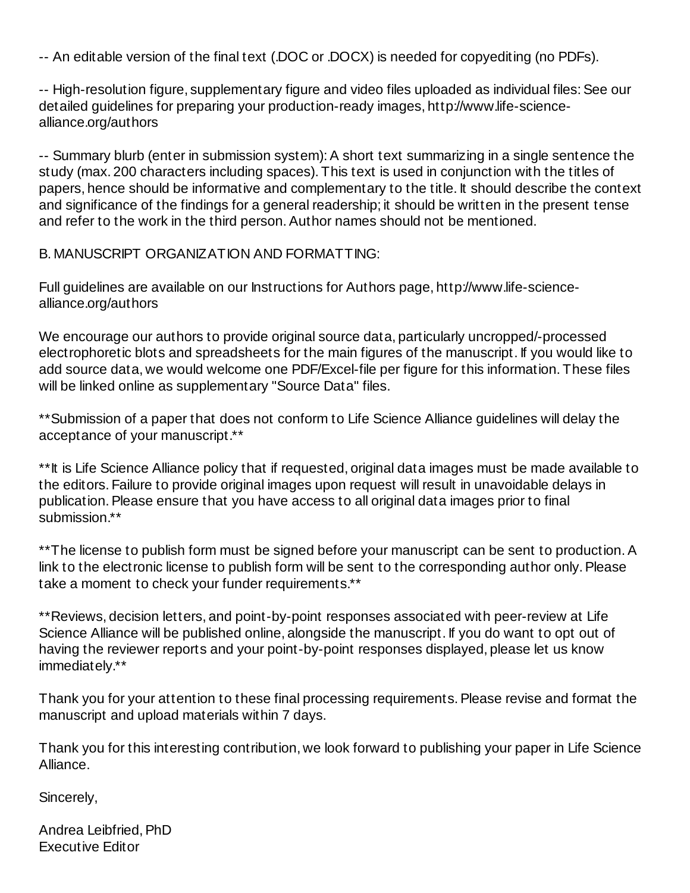-- An editable version of the final text (.DOC or .DOCX) is needed for copyediting (no PDFs).

-- High-resolution figure, supplementary figure and video files uploaded as individual files: See our detailed guidelines for preparing your production-ready images, http://www.life-sciencealliance.org/authors

-- Summary blurb (enter in submission system): A short text summarizing in a single sentence the study (max. 200 characters including spaces). This text is used in conjunction with the titles of papers, hence should be informative and complementary to the title. It should describe the context and significance of the findings for a general readership; it should be written in the present tense and refer to the work in the third person. Author names should not be mentioned.

B. MANUSCRIPT ORGANIZATION AND FORMATTING:

Full guidelines are available on our Instructions for Authors page, http://www.life-sciencealliance.org/authors

We encourage our authors to provide original source data, particularly uncropped/-processed electrophoretic blots and spreadsheets for the main figures of the manuscript. If you would like to add source data, we would welcome one PDF/Excel-file per figure for this information. These files will be linked online as supplementary "Source Data" files.

\*\*Submission of a paper that does not conform to Life Science Alliance guidelines will delay the acceptance of your manuscript.\*\*

\*\*It is Life Science Alliance policy that if requested, original data images must be made available to the editors. Failure to provide original images upon request will result in unavoidable delays in publication. Please ensure that you have access to all original data images prior to final submission.\*\*

\*\* The license to publish form must be signed before your manuscript can be sent to production. A link to the electronic license to publish form will be sent to the corresponding author only. Please take a moment to check your funder requirements.\*\*

\*\*Reviews, decision letters, and point-by-point responses associated with peer-review at Life Science Alliance will be published online, alongside the manuscript. If you do want to opt out of having the reviewer reports and your point-by-point responses displayed, please let us know immediately.\*\*

Thank you for your attention to these final processing requirements. Please revise and format the manuscript and upload materials within 7 days.

Thank you for this interesting contribution, we look forward to publishing your paper in Life Science Alliance.

Sincerely,

Andrea Leibfried, PhD Executive Editor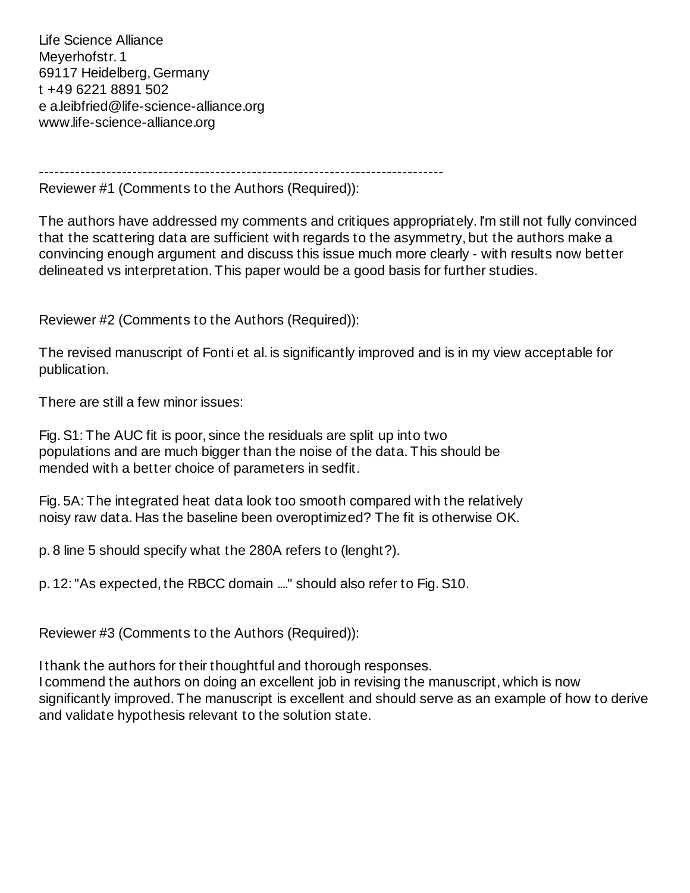Life Science Alliance Meyerhofstr. 1 69117 Heidelberg, Germany t +49 6221 8891 502 e a.leibfried@life-science-alliance.org www.life-science-alliance.org

------------------------------------------------------------------------------

Reviewer #1 (Comments to the Authors (Required)):

The authors have addressed my comments and critiques appropriately. I'm still not fully convinced that the scattering data are sufficient with regards to the asymmetry, but the authors make a convincing enough argument and discuss this issue much more clearly - with results now better delineated vs interpretation. This paper would be a good basis for further studies.

Reviewer #2 (Comments to the Authors (Required)):

The revised manuscript of Fonti et al. is significantly improved and is in my view acceptable for publication.

There are still a few minor issues:

Fig. S1: The AUC fit is poor, since the residuals are split up into two populations and are much bigger than the noise of the data. This should be mended with a better choice of parameters in sedfit.

Fig. 5A: The integrated heat data look too smooth compared with the relatively noisy raw data. Has the baseline been overoptimized? The fit is otherwise OK.

p. 8 line 5 should specify what the 280A refers to (lenght?).

p. 12: "As expected, the RBCC domain ...." should also refer to Fig. S10.

Reviewer #3 (Comments to the Authors (Required)):

I thank the authors for their thoughtful and thorough responses. I commend the authors on doing an excellent job in revising the manuscript, which is now significantly improved. The manuscript is excellent and should serve as an example of how to derive and validate hypothesis relevant to the solution state.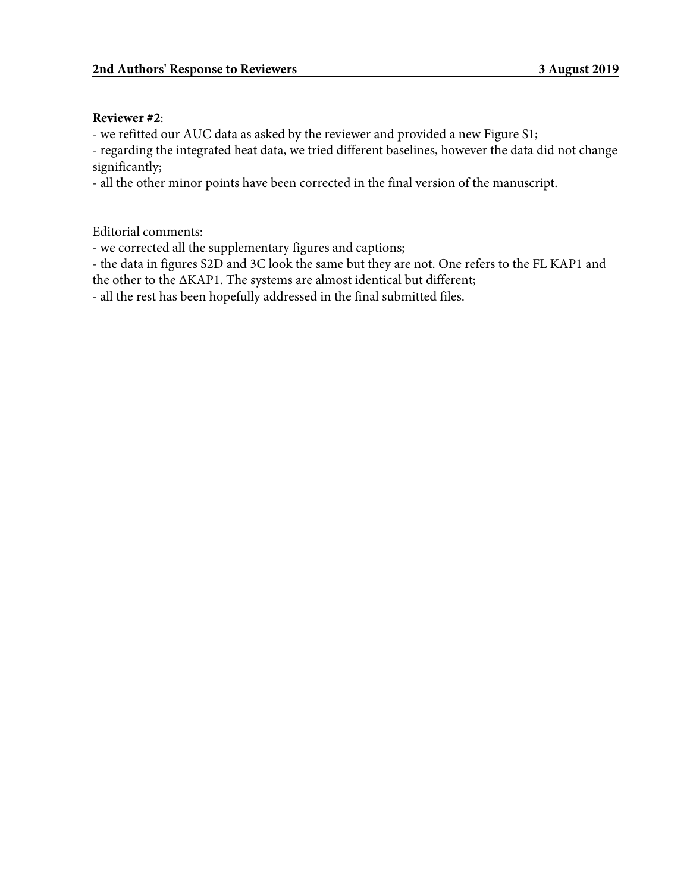### **Reviewer #2**:

- we refitted our AUC data as asked by the reviewer and provided a new Figure S1;

- regarding the integrated heat data, we tried different baselines, however the data did not change significantly;

- all the other minor points have been corrected in the final version of the manuscript.

Editorial comments:

- we corrected all the supplementary figures and captions;

- the data in figures S2D and 3C look the same but they are not. One refers to the FL KAP1 and the other to the ΔKAP1. The systems are almost identical but different;

- all the rest has been hopefully addressed in the final submitted files.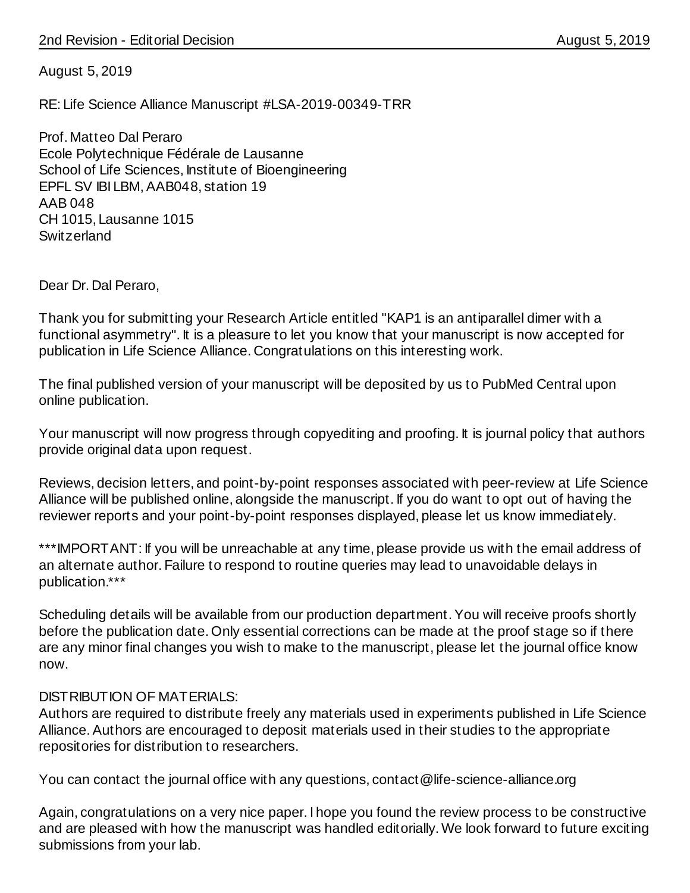August 5, 2019

RE: Life Science Alliance Manuscript #LSA-2019-00349-TRR

Prof. Matteo Dal Peraro Ecole Polytechnique Fédérale de Lausanne School of Life Sciences, Institute of Bioengineering EPFL SV IBI LBM, AAB048, station 19 AAB 048 CH 1015, Lausanne 1015 **Switzerland** 

Dear Dr. Dal Peraro,

Thank you for submitting your Research Article entitled "KAP1 is an antiparallel dimer with a functional asymmetry". It is a pleasure to let you know that your manuscript is now accepted for publication in Life Science Alliance. Congratulations on this interesting work.

The final published version of your manuscript will be deposited by us to PubMed Central upon online publication.

Your manuscript will now progress through copyediting and proofing. It is journal policy that authors provide original data upon request.

Reviews, decision letters, and point-by-point responses associated with peer-review at Life Science Alliance will be published online, alongside the manuscript. If you do want to opt out of having the reviewer reports and your point-by-point responses displayed, please let us know immediately.

\*\*\*IMPORTANT: If you will be unreachable at any time, please provide us with the email address of an alternate author. Failure to respond to routine queries may lead to unavoidable delays in publication.\*\*\*

Scheduling details will be available from our production department. You will receive proofs shortly before the publication date. Only essential corrections can be made at the proof stage so if there are any minor final changes you wish to make to the manuscript, please let the journal office know now.

# DISTRIBUTION OF MATERIALS:

Authors are required to distribute freely any materials used in experiments published in Life Science Alliance. Authors are encouraged to deposit materials used in their studies to the appropriate repositories for distribution to researchers.

You can contact the journal office with any questions, contact@life-science-alliance.org

Again, congratulations on a very nice paper. I hope you found the review process to be constructive and are pleased with how the manuscript was handled editorially. We look forward to future exciting submissions from your lab.